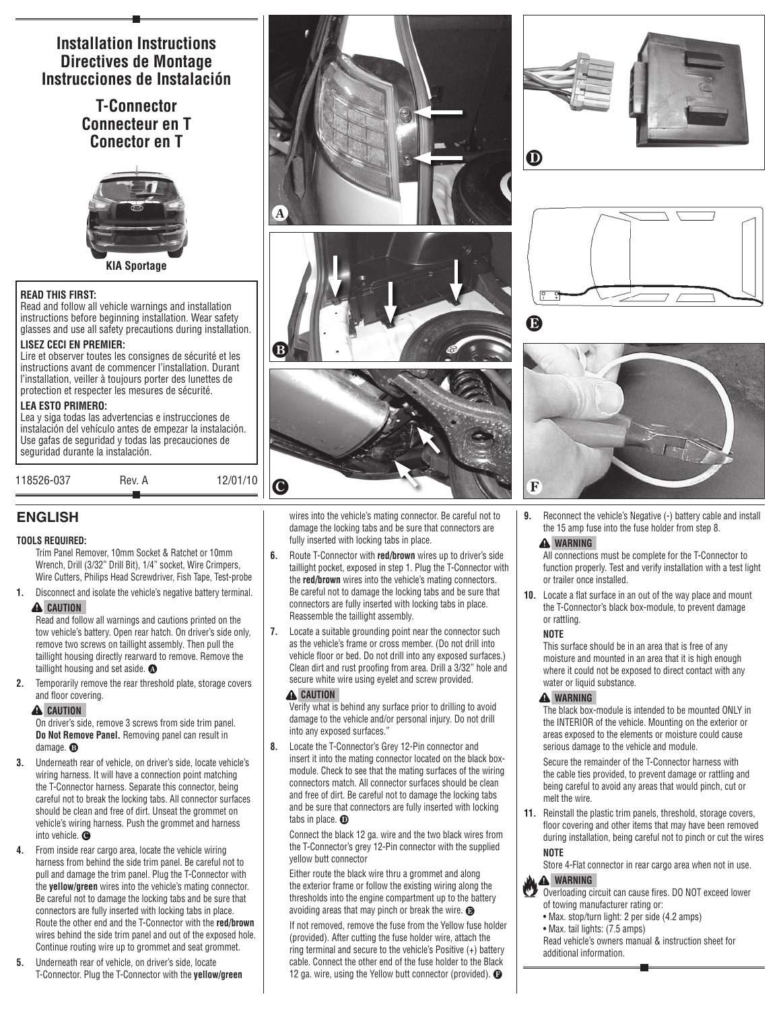# **Installation Instructions Directives de Montage Instrucciones de Instalación**

**T-Connector Connecteur en T Conector en T**



## **READ THIS FIRST:**

Read and follow all vehicle warnings and installation instructions before beginning installation. Wear safety glasses and use all safety precautions during installation.

## **Lisez Ceci En Premier:**

Lire et observer toutes les consignes de sécurité et les instructions avant de commencer l'installation. Durant l'installation, veiller à toujours porter des lunettes de protection et respecter les mesures de sécurité.

## **LEA ESTO PRIMERO:**

Lea y siga todas las advertencias e instrucciones de instalación del vehículo antes de empezar la instalación. Use gafas de seguridad y todas las precauciones de seguridad durante la instalación.

118526-037 Rev. A 12/01/10

## **ENGLISH**

### **TOOLS REQUIRED:**

Trim Panel Remover, 10mm Socket & Ratchet or 10mm Wrench, Drill (3/32" Drill Bit), 1/4" socket, Wire Crimpers, Wire Cutters, Philips Head Screwdriver, Fish Tape, Test-probe

**1.** Disconnect and isolate the vehicle's negative battery terminal.

## **A** CAUTION

 Read and follow all warnings and cautions printed on the tow vehicle's battery. Open rear hatch. On driver's side only, remove two screws on taillight assembly. Then pull the taillight housing directly rearward to remove. Remove the taillight housing and set aside.  $\bullet$ 

**2.** Temporarily remove the rear threshold plate, storage covers and floor covering.

### **A** CAUTION

 On driver's side, remove 3 screws from side trim panel. **Do Not Remove Panel.** Removing panel can result in  $d$ amage.  $\bullet$ 

- **3.** Underneath rear of vehicle, on driver's side, locate vehicle's wiring harness. It will have a connection point matching the T-Connector harness. Separate this connector, being careful not to break the locking tabs. All connector surfaces should be clean and free of dirt. Unseat the grommet on vehicle's wiring harness. Push the grommet and harness into vehicle.  $\bigcirc$
- **4.** From inside rear cargo area, locate the vehicle wiring harness from behind the side trim panel. Be careful not to pull and damage the trim panel. Plug the T-Connector with the **yellow/green** wires into the vehicle's mating connector. Be careful not to damage the locking tabs and be sure that connectors are fully inserted with locking tabs in place. Route the other end and the T-Connector with the **red/brown** wires behind the side trim panel and out of the exposed hole. Continue routing wire up to grommet and seat grommet.
- **5.** Underneath rear of vehicle, on driver's side, locate T-Connector. Plug the T-Connector with the **yellow/green**







wires into the vehicle's mating connector. Be careful not to damage the locking tabs and be sure that connectors are fully inserted with locking tabs in place.

- **6.** Route T-Connector with **red/brown** wires up to driver's side taillight pocket, exposed in step 1. Plug the T-Connector with the **red/brown** wires into the vehicle's mating connectors. Be careful not to damage the locking tabs and be sure that connectors are fully inserted with locking tabs in place. Reassemble the taillight assembly.
- **7.** Locate a suitable grounding point near the connector such as the vehicle's frame or cross member. (Do not drill into vehicle floor or bed. Do not drill into any exposed surfaces.) Clean dirt and rust proofing from area. Drill a 3/32" hole and secure white wire using eyelet and screw provided.

## **A** CAUTION

 Verify what is behind any surface prior to drilling to avoid damage to the vehicle and/or personal injury. Do not drill into any exposed surfaces."

**8.** Locate the T-Connector's Grey 12-Pin connector and insert it into the mating connector located on the black boxmodule. Check to see that the mating surfaces of the wiring connectors match. All connector surfaces should be clean and free of dirt. Be careful not to damage the locking tabs and be sure that connectors are fully inserted with locking tabs in place.  $\mathbf{\odot}$ 

 Connect the black 12 ga. wire and the two black wires from the T-Connector's grey 12-Pin connector with the supplied yellow butt connector

 Either route the black wire thru a grommet and along the exterior frame or follow the existing wiring along the thresholds into the engine compartment up to the battery avoiding areas that may pinch or break the wire.  $\bullet$ 

 If not removed, remove the fuse from the Yellow fuse holder (provided). After cutting the fuse holder wire, attach the ring terminal and secure to the vehicle's Positive (+) battery cable. Connect the other end of the fuse holder to the Black 12 ga. wire, using the Yellow butt connector (provided).  $\bullet$ 







**9.** Reconnect the vehicle's Negative (-) battery cable and install the 15 amp fuse into the fuse holder from step 8.

## **WARNING**

 All connections must be complete for the T-Connector to function properly. Test and verify installation with a test light or trailer once installed.

**10.** Locate a flat surface in an out of the way place and mount the T-Connector's black box-module, to prevent damage or rattling.

### **NOTE**

 This surface should be in an area that is free of any moisture and mounted in an area that it is high enough where it could not be exposed to direct contact with any water or liquid substance.

## **WARNING**

 The black box-module is intended to be mounted ONLY in the INTERIOR of the vehicle. Mounting on the exterior or areas exposed to the elements or moisture could cause serious damage to the vehicle and module.

Secure the remainder of the T-Connector harness with the cable ties provided, to prevent damage or rattling and being careful to avoid any areas that would pinch, cut or melt the wire.

**11.** Reinstall the plastic trim panels, threshold, storage covers, floor covering and other items that may have been removed during installation, being careful not to pinch or cut the wires  **NOTE** 

Store 4-Flat connector in rear cargo area when not in use.

### **WARNING**

- Overloading circuit can cause fires. DO NOT exceed lower of towing manufacturer rating or:
- Max. stop/turn light: 2 per side (4.2 amps)
- Max. tail lights: (7.5 amps)
- Read vehicle's owners manual & instruction sheet for additional information.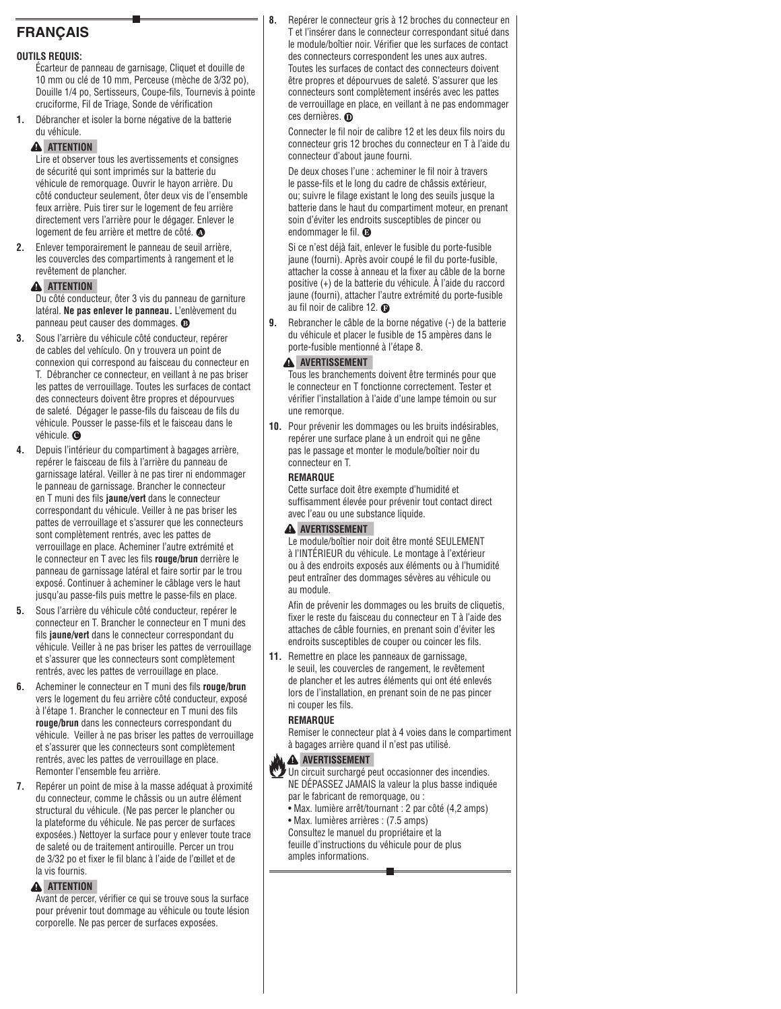# **Français**

## **OUTILS REQUIS:**

Écarteur de panneau de garnisage, Cliquet et douille de 10 mm ou clé de 10 mm, Perceuse (mèche de 3/32 po), Douille 1/4 po, Sertisseurs, Coupe-fils, Tournevis à pointe cruciforme, Fil de Triage, Sonde de vérification

**1.** Débrancher et isoler la borne négative de la batterie du véhicule.

## **A** ATTENTION

 Lire et observer tous les avertissements et consignes de sécurité qui sont imprimés sur la batterie du véhicule de remorquage. Ouvrir le hayon arrière. Du côté conducteur seulement, ôter deux vis de l'ensemble feux arrière. Puis tirer sur le logement de feu arrière directement vers l'arrière pour le dégager. Enlever le logement de feu arrière et mettre de côté.  $\bullet$ 

**2.** Enlever temporairement le panneau de seuil arrière, les couvercles des compartiments à rangement et le revêtement de plancher.

## **A** ATTENTION

 Du côté conducteur, ôter 3 vis du panneau de garniture latéral. **Ne pas enlever le panneau.** L'enlèvement du panneau peut causer des dommages.  $\bullet$ 

- **3.** Sous l'arrière du véhicule côté conducteur, repérer de cables del vehículo. On y trouvera un point de connexion qui correspond au faisceau du connecteur en T. Débrancher ce connecteur, en veillant à ne pas briser les pattes de verrouillage. Toutes les surfaces de contact des connecteurs doivent être propres et dépourvues de saleté. Dégager le passe-fils du faisceau de fils du véhicule. Pousser le passe-fils et le faisceau dans le véhicule. **@**
- **4.** Depuis l'intérieur du compartiment à bagages arrière, repérer le faisceau de fils à l'arrière du panneau de garnissage latéral. Veiller à ne pas tirer ni endommager le panneau de garnissage. Brancher le connecteur en T muni des fils **jaune/vert** dans le connecteur correspondant du véhicule. Veiller à ne pas briser les pattes de verrouillage et s'assurer que les connecteurs sont complètement rentrés, avec les pattes de verrouillage en place. Acheminer l'autre extrémité et le connecteur en T avec les fils **rouge/brun** derrière le panneau de garnissage latéral et faire sortir par le trou exposé. Continuer à acheminer le câblage vers le haut jusqu'au passe-fils puis mettre le passe-fils en place.
- **5.** Sous l'arrière du véhicule côté conducteur, repérer le connecteur en T. Brancher le connecteur en T muni des fils **jaune/vert** dans le connecteur correspondant du véhicule. Veiller à ne pas briser les pattes de verrouillage et s'assurer que les connecteurs sont complètement rentrés, avec les pattes de verrouillage en place.
- **6.** Acheminer le connecteur en T muni des fils **rouge/brun** vers le logement du feu arrière côté conducteur, exposé à l'étape 1. Brancher le connecteur en T muni des fils **rouge/brun** dans les connecteurs correspondant du véhicule. Veiller à ne pas briser les pattes de verrouillage et s'assurer que les connecteurs sont complètement rentrés, avec les pattes de verrouillage en place. Remonter l'ensemble feu arrière.
- **7.** Repérer un point de mise à la masse adéquat à proximité du connecteur, comme le châssis ou un autre élément structural du véhicule. (Ne pas percer le plancher ou la plateforme du véhicule. Ne pas percer de surfaces exposées.) Nettoyer la surface pour y enlever toute trace de saleté ou de traitement antirouille. Percer un trou de 3/32 po et fixer le fil blanc à l'aide de l'œillet et de la vis fournis.

## **A** ATTENTION

 Avant de percer, vérifier ce qui se trouve sous la surface pour prévenir tout dommage au véhicule ou toute lésion corporelle. Ne pas percer de surfaces exposées.

**8.** Repérer le connecteur gris à 12 broches du connecteur en T et l'insérer dans le connecteur correspondant situé dans le module/boîtier noir. Vérifier que les surfaces de contact des connecteurs correspondent les unes aux autres. Toutes les surfaces de contact des connecteurs doivent être propres et dépourvues de saleté. S'assurer que les connecteurs sont complètement insérés avec les pattes de verrouillage en place, en veillant à ne pas endommager ces dernières. <sup>O</sup>

 Connecter le fil noir de calibre 12 et les deux fils noirs du connecteur gris 12 broches du connecteur en T à l'aide du connecteur d'about jaune fourni.

 De deux choses l'une : acheminer le fil noir à travers le passe-fils et le long du cadre de châssis extérieur, ou; suivre le filage existant le long des seuils jusque la batterie dans le haut du compartiment moteur, en prenant soin d'éviter les endroits susceptibles de pincer ou endommager le fil. **@** 

 Si ce n'est déjà fait, enlever le fusible du porte-fusible jaune (fourni). Après avoir coupé le fil du porte-fusible, attacher la cosse à anneau et la fixer au câble de la borne positive (+) de la batterie du véhicule. À l'aide du raccord jaune (fourni), attacher l'autre extrémité du porte-fusible au fil noir de calibre 12.  $\bullet$ 

**9.** Rebrancher le câble de la borne négative (-) de la batterie du véhicule et placer le fusible de 15 ampères dans le porte-fusible mentionné à l'étape 8.

### **A** AVERTISSEMENT

 Tous les branchements doivent être terminés pour que le connecteur en T fonctionne correctement. Tester et vérifier l'installation à l'aide d'une lampe témoin ou sur une remorque.

**10.** Pour prévenir les dommages ou les bruits indésirables, repérer une surface plane à un endroit qui ne gêne pas le passage et monter le module/boîtier noir du connecteur en T.

### **REMARQUE**

 Cette surface doit être exempte d'humidité et suffisamment élevée pour prévenir tout contact direct avec l'eau ou une substance liquide.

### **A** AVERTISSEMENT

 Le module/boîtier noir doit être monté SEULEMENT à l'INTÉRIEUR du véhicule. Le montage à l'extérieur ou à des endroits exposés aux éléments ou à l'humidité peut entraîner des dommages sévères au véhicule ou au module.

 Afin de prévenir les dommages ou les bruits de cliquetis, fixer le reste du faisceau du connecteur en T à l'aide des attaches de câble fournies, en prenant soin d'éviter les endroits susceptibles de couper ou coincer les fils.

**11.** Remettre en place les panneaux de garnissage, le seuil, les couvercles de rangement, le revêtement de plancher et les autres éléments qui ont été enlevés lors de l'installation, en prenant soin de ne pas pincer ni couper les fils.

### **REMARQUE**

 Remiser le connecteur plat à 4 voies dans le compartiment à bagages arrière quand il n'est pas utilisé.

## **A** AVERTISSEMENT

Un circuit surchargé peut occasionner des incendies. NE DÉPASSEZ JAMAIS la valeur la plus basse indiquée par le fabricant de remorquage, ou :

• Max. lumière arrêt/tournant : 2 par côté (4,2 amps)

• Max. lumières arrières : (7.5 amps)

Consultez le manuel du propriétaire et la

feuille d'instructions du véhicule pour de plus amples informations.